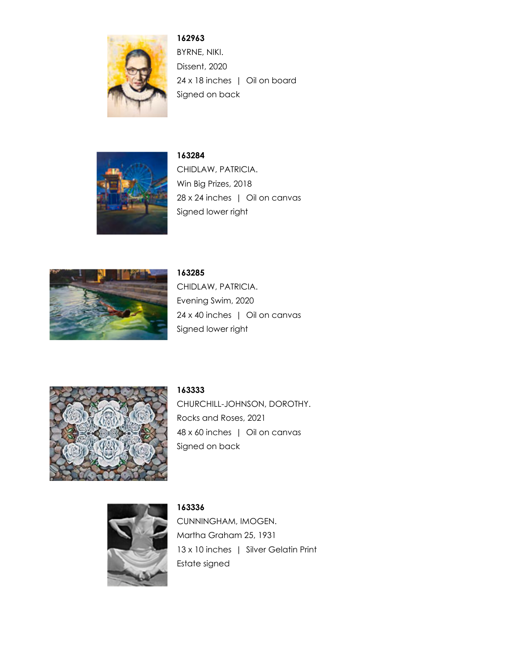

**162963** BYRNE, NIKI. Dissent, 2020 24 x 18 inches | Oil on board Signed on back



**163284** CHIDLAW, PATRICIA. Win Big Prizes, 2018 28 x 24 inches | Oil on canvas Signed lower right



**163285** CHIDLAW, PATRICIA. Evening Swim, 2020 24 x 40 inches | Oil on canvas Signed lower right



**163333**

CHURCHILL-JOHNSON, DOROTHY. Rocks and Roses, 2021 48 x 60 inches | Oil on canvas Signed on back



**163336** CUNNINGHAM, IMOGEN. Martha Graham 25, 1931 13 x 10 inches | Silver Gelatin Print Estate signed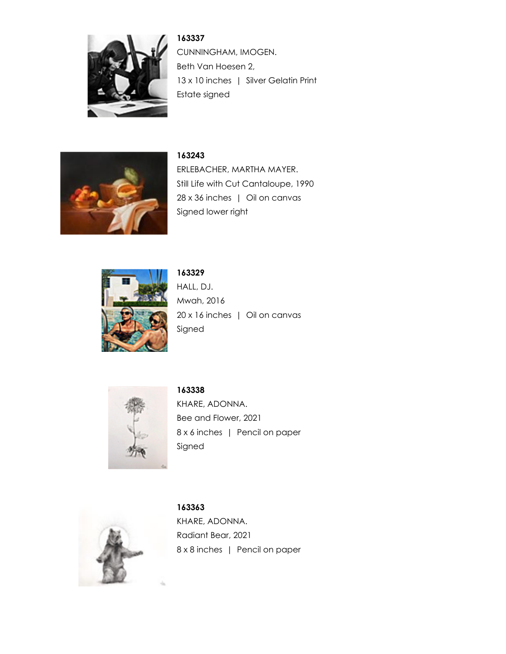

**163337** CUNNINGHAM, IMOGEN. Beth Van Hoesen 2, 13 x 10 inches | Silver Gelatin Print Estate signed



**163243**

ERLEBACHER, MARTHA MAYER. Still Life with Cut Cantaloupe, 1990 28 x 36 inches | Oil on canvas Signed lower right



## **163329**

HALL, DJ. Mwah, 2016 20 x 16 inches | Oil on canvas Signed



**163338**

KHARE, ADONNA. Bee and Flower, 2021 8 x 6 inches | Pencil on paper Signed



**163363** KHARE, ADONNA. Radiant Bear, 2021 8 x 8 inches | Pencil on paper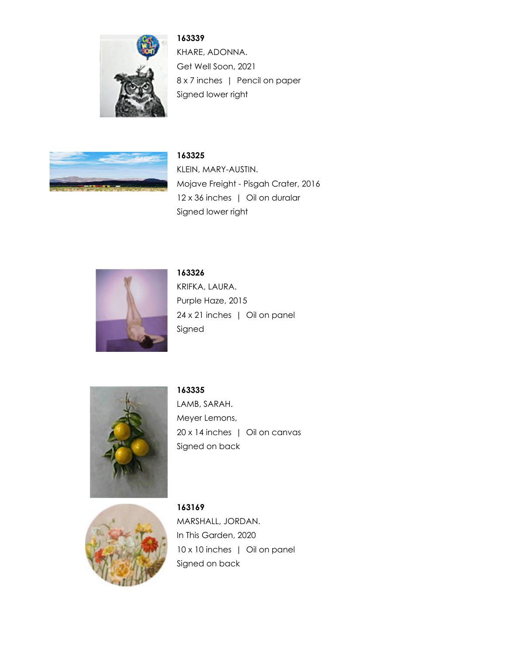

**163339**

KHARE, ADONNA. Get Well Soon, 2021 8 x 7 inches | Pencil on paper Signed lower right



## **163325**

KLEIN, MARY-AUSTIN. Mojave Freight - Pisgah Crater, 2016 12 x 36 inches | Oil on duralar Signed lower right



## **163326**

KRIFKA, LAURA. Purple Haze, 2015 24 x 21 inches | Oil on panel Signed



## **163335** LAMB, SARAH. Meyer Lemons,

20 x 14 inches | Oil on canvas Signed on back



**163169** MARSHALL, JORDAN. In This Garden, 2020 10 x 10 inches | Oil on panel Signed on back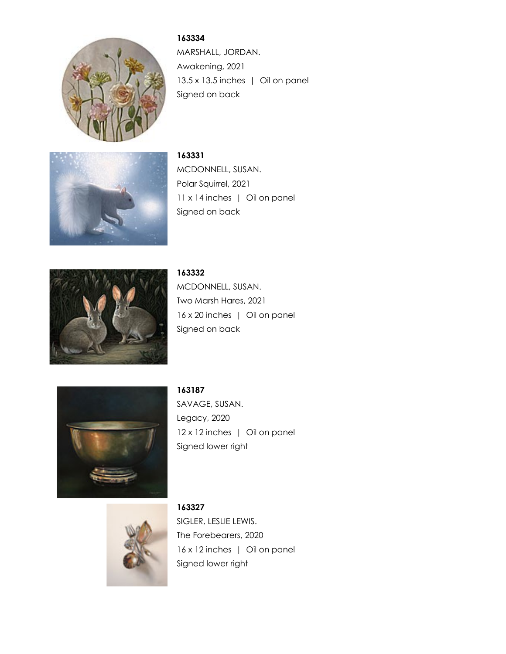

**163334** MARSHALL, JORDAN. Awakening, 2021 13.5 x 13.5 inches | Oil on panel Signed on back



**163331** MCDONNELL, SUSAN. Polar Squirrel, 2021 11 x 14 inches | Oil on panel Signed on back



**163332** MCDONNELL, SUSAN. Two Marsh Hares, 2021 16 x 20 inches | Oil on panel Signed on back



**163187** SAVAGE, SUSAN. Legacy, 2020 12 x 12 inches | Oil on panel Signed lower right



**163327** SIGLER, LESLIE LEWIS. The Forebearers, 2020 16 x 12 inches | Oil on panel Signed lower right